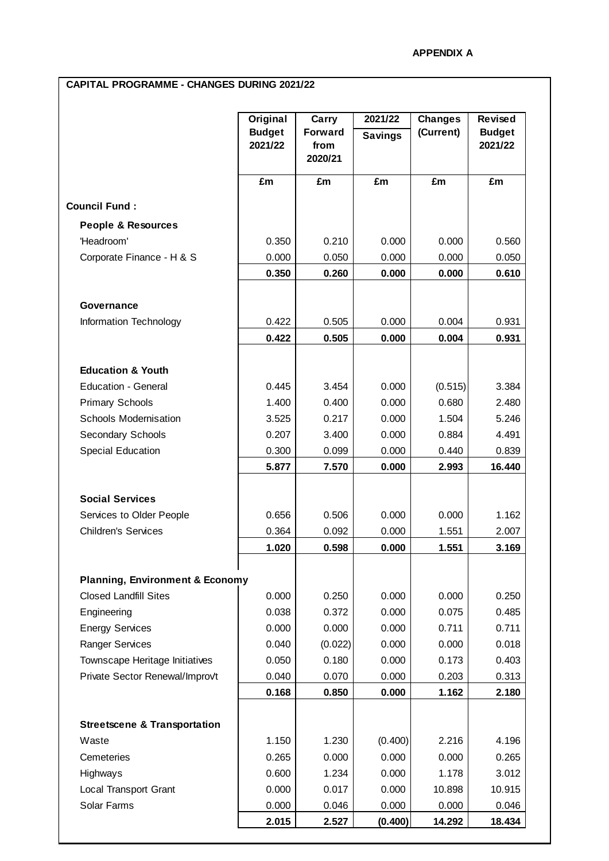## **CAPITAL PROGRAMME - CHANGES DURING 2021/22**

|                                                            | Original<br><b>Budget</b><br>2021/22 | Carry<br><b>Forward</b><br>from<br>2020/21 | 2021/22<br><b>Savings</b> | <b>Changes</b><br>(Current) | <b>Revised</b><br><b>Budget</b><br>2021/22 |
|------------------------------------------------------------|--------------------------------------|--------------------------------------------|---------------------------|-----------------------------|--------------------------------------------|
|                                                            | £m                                   | £m                                         | £m                        | £m                          | £m                                         |
| <b>Council Fund:</b>                                       |                                      |                                            |                           |                             |                                            |
| <b>People &amp; Resources</b>                              |                                      |                                            |                           |                             |                                            |
| 'Headroom'                                                 | 0.350                                | 0.210                                      | 0.000                     | 0.000                       | 0.560                                      |
| Corporate Finance - H & S                                  | 0.000                                | 0.050                                      | 0.000                     | 0.000                       | 0.050                                      |
|                                                            | 0.350                                | 0.260                                      | 0.000                     | 0.000                       | 0.610                                      |
| Governance                                                 |                                      |                                            |                           |                             |                                            |
| Information Technology                                     | 0.422                                | 0.505                                      | 0.000                     | 0.004                       | 0.931                                      |
|                                                            | 0.422                                | 0.505                                      | 0.000                     | 0.004                       | 0.931                                      |
|                                                            |                                      |                                            |                           |                             |                                            |
| <b>Education &amp; Youth</b><br><b>Education - General</b> | 0.445                                | 3.454                                      | 0.000                     | (0.515)                     | 3.384                                      |
| <b>Primary Schools</b>                                     | 1.400                                | 0.400                                      | 0.000                     | 0.680                       | 2.480                                      |
| <b>Schools Modernisation</b>                               | 3.525                                | 0.217                                      | 0.000                     | 1.504                       | 5.246                                      |
| Secondary Schools                                          | 0.207                                | 3.400                                      | 0.000                     | 0.884                       | 4.491                                      |
| <b>Special Education</b>                                   | 0.300                                | 0.099                                      | 0.000                     | 0.440                       | 0.839                                      |
|                                                            | 5.877                                | 7.570                                      | 0.000                     | 2.993                       | 16.440                                     |
| <b>Social Services</b>                                     |                                      |                                            |                           |                             |                                            |
| Services to Older People                                   | 0.656                                | 0.506                                      | 0.000                     | 0.000                       | 1.162                                      |
| <b>Children's Services</b>                                 | 0.364                                | 0.092                                      | 0.000                     | 1.551                       | 2.007                                      |
|                                                            | 1.020                                | 0.598                                      | 0.000                     | 1.551                       | 3.169                                      |
| <b>Planning, Environment &amp; Economy</b>                 |                                      |                                            |                           |                             |                                            |
| <b>Closed Landfill Sites</b>                               | 0.000                                | 0.250                                      | 0.000                     | 0.000                       | 0.250                                      |
| Engineering                                                | 0.038                                | 0.372                                      | 0.000                     | 0.075                       | 0.485                                      |
| <b>Energy Services</b>                                     | 0.000                                | 0.000                                      | 0.000                     | 0.711                       | 0.711                                      |
| <b>Ranger Services</b>                                     | 0.040                                | (0.022)                                    | 0.000                     | 0.000                       | 0.018                                      |
| Townscape Heritage Initiatives                             | 0.050                                | 0.180                                      | 0.000                     | 0.173                       | 0.403                                      |
| Private Sector Renewal/Improvt                             | 0.040                                | 0.070                                      | 0.000                     | 0.203                       | 0.313                                      |
|                                                            | 0.168                                | 0.850                                      | 0.000                     | 1.162                       | 2.180                                      |
| <b>Streetscene &amp; Transportation</b>                    |                                      |                                            |                           |                             |                                            |
| Waste                                                      | 1.150                                | 1.230                                      | (0.400)                   | 2.216                       | 4.196                                      |
| Cemeteries                                                 | 0.265                                | 0.000                                      | 0.000                     | 0.000                       | 0.265                                      |
| Highways                                                   | 0.600                                | 1.234                                      | 0.000                     | 1.178                       | 3.012                                      |
| <b>Local Transport Grant</b>                               | 0.000                                | 0.017                                      | 0.000                     | 10.898                      | 10.915                                     |
| Solar Farms                                                | 0.000                                | 0.046                                      | 0.000                     | 0.000                       | 0.046                                      |
|                                                            | 2.015                                | 2.527                                      | (0.400)                   | 14.292                      | 18.434                                     |